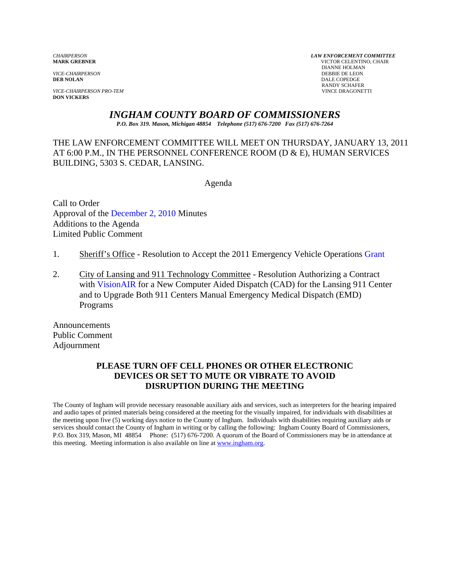*VICE-CHAIRPERSON*<br>**DEB NOLAN** 

*VICE-CHAIRPERSON PRO-TEM* VINCE DRAGONETTI **DON VICKERS** 

*CHAIRPERSON LAW ENFORCEMENT COMMITTEE* **MARK GREBNER** VICTOR CELENTINO, CHAIR **DIANNE HOLMAN<br>DEBBIE DE LEON DALE COPEDGE** RANDY SCHAFER

## *INGHAM COUNTY BOARD OF COMMISSIONERS*

*P.O. Box 319. Mason, Michigan 48854 Telephone (517) 676-7200 Fax (517) 676-7264*

THE LAW ENFORCEMENT COMMITTEE WILL MEET ON THURSDAY, JANUARY 13, 2011 AT 6:00 P.M., IN THE PERSONNEL CONFERENCE ROOM (D & E), HUMAN SERVICES BUILDING, 5303 S. CEDAR, LANSING.

Agenda

Call to Order Approval of [the December 2, 2010 Minutes](#page-1-0)  Additions to the Agenda Limited Public Comment

- 1. Sheriff's Office Resolution to Accept the 2011 Emergency Vehicle Operat[ions Grant](#page-5-0)
- 2. City of Lansing and 911 Technology Committee Resolution Authorizing a Contract [with VisionAIR for a New Compu](#page-7-0)ter Aided Dispatch (CAD) for the Lansing 911 Center and to Upgrade Both 911 Centers Manual Emergency Medical Dispatch (EMD) Programs

Announcements Public Comment Adjournment

## **PLEASE TURN OFF CELL PHONES OR OTHER ELECTRONIC DEVICES OR SET TO MUTE OR VIBRATE TO AVOID DISRUPTION DURING THE MEETING**

The County of Ingham will provide necessary reasonable auxiliary aids and services, such as interpreters for the hearing impaired and audio tapes of printed materials being considered at the meeting for the visually impaired, for individuals with disabilities at the meeting upon five (5) working days notice to the County of Ingham. Individuals with disabilities requiring auxiliary aids or services should contact the County of Ingham in writing or by calling the following: Ingham County Board of Commissioners, P.O. Box 319, Mason, MI 48854 Phone: (517) 676-7200. A quorum of the Board of Commissioners may be in attendance at this meeting. Meeting information is also available on line at www.ingham.org.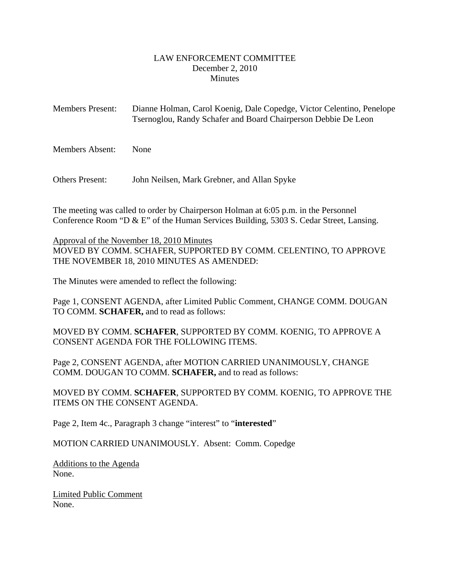### LAW ENFORCEMENT COMMITTEE December 2, 2010 **Minutes**

<span id="page-1-0"></span>Members Present: Dianne Holman, Carol Koenig, Dale Copedge, Victor Celentino, Penelope Tsernoglou, Randy Schafer and Board Chairperson Debbie De Leon

Members Absent: None

Others Present: John Neilsen, Mark Grebner, and Allan Spyke

The meeting was called to order by Chairperson Holman at 6:05 p.m. in the Personnel Conference Room "D & E" of the Human Services Building, 5303 S. Cedar Street, Lansing.

#### Approval of the November 18, 2010 Minutes

MOVED BY COMM. SCHAFER, SUPPORTED BY COMM. CELENTINO, TO APPROVE THE NOVEMBER 18, 2010 MINUTES AS AMENDED:

The Minutes were amended to reflect the following:

Page 1, CONSENT AGENDA, after Limited Public Comment, CHANGE COMM. DOUGAN TO COMM. **SCHAFER,** and to read as follows:

MOVED BY COMM. **SCHAFER**, SUPPORTED BY COMM. KOENIG, TO APPROVE A CONSENT AGENDA FOR THE FOLLOWING ITEMS.

Page 2, CONSENT AGENDA, after MOTION CARRIED UNANIMOUSLY, CHANGE COMM. DOUGAN TO COMM. **SCHAFER,** and to read as follows:

MOVED BY COMM. **SCHAFER**, SUPPORTED BY COMM. KOENIG, TO APPROVE THE ITEMS ON THE CONSENT AGENDA.

Page 2, Item 4c., Paragraph 3 change "interest" to "**interested**"

MOTION CARRIED UNANIMOUSLY. Absent: Comm. Copedge

Additions to the Agenda None.

Limited Public Comment None.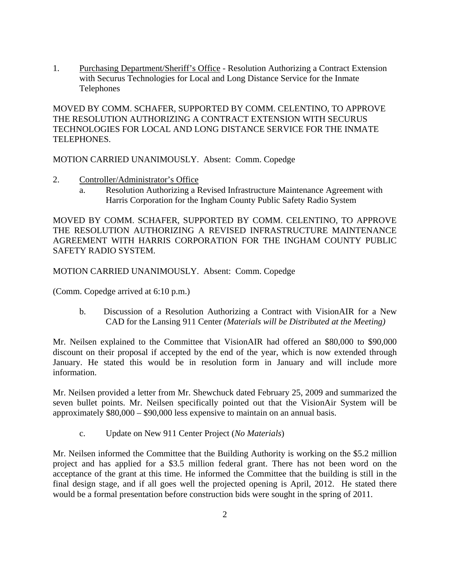1. Purchasing Department/Sheriff's Office - Resolution Authorizing a Contract Extension with Securus Technologies for Local and Long Distance Service for the Inmate Telephones

MOVED BY COMM. SCHAFER, SUPPORTED BY COMM. CELENTINO, TO APPROVE THE RESOLUTION AUTHORIZING A CONTRACT EXTENSION WITH SECURUS TECHNOLOGIES FOR LOCAL AND LONG DISTANCE SERVICE FOR THE INMATE TELEPHONES.

MOTION CARRIED UNANIMOUSLY. Absent: Comm. Copedge

- 2. Controller/Administrator's Office
	- a. Resolution Authorizing a Revised Infrastructure Maintenance Agreement with Harris Corporation for the Ingham County Public Safety Radio System

MOVED BY COMM. SCHAFER, SUPPORTED BY COMM. CELENTINO, TO APPROVE THE RESOLUTION AUTHORIZING A REVISED INFRASTRUCTURE MAINTENANCE AGREEMENT WITH HARRIS CORPORATION FOR THE INGHAM COUNTY PUBLIC SAFETY RADIO SYSTEM.

MOTION CARRIED UNANIMOUSLY. Absent: Comm. Copedge

(Comm. Copedge arrived at 6:10 p.m.)

b. Discussion of a Resolution Authorizing a Contract with VisionAIR for a New CAD for the Lansing 911 Center *(Materials will be Distributed at the Meeting)*

Mr. Neilsen explained to the Committee that VisionAIR had offered an \$80,000 to \$90,000 discount on their proposal if accepted by the end of the year, which is now extended through January. He stated this would be in resolution form in January and will include more information.

Mr. Neilsen provided a letter from Mr. Shewchuck dated February 25, 2009 and summarized the seven bullet points. Mr. Neilsen specifically pointed out that the VisionAir System will be approximately \$80,000 – \$90,000 less expensive to maintain on an annual basis.

c. Update on New 911 Center Project (*No Materials*)

Mr. Neilsen informed the Committee that the Building Authority is working on the \$5.2 million project and has applied for a \$3.5 million federal grant. There has not been word on the acceptance of the grant at this time. He informed the Committee that the building is still in the final design stage, and if all goes well the projected opening is April, 2012. He stated there would be a formal presentation before construction bids were sought in the spring of 2011.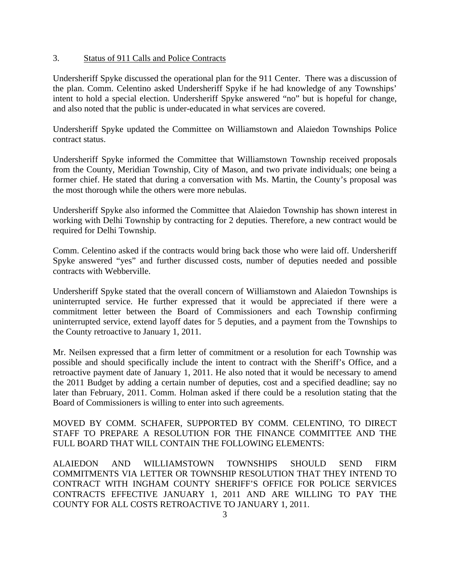### 3. Status of 911 Calls and Police Contracts

Undersheriff Spyke discussed the operational plan for the 911 Center. There was a discussion of the plan. Comm. Celentino asked Undersheriff Spyke if he had knowledge of any Townships' intent to hold a special election. Undersheriff Spyke answered "no" but is hopeful for change, and also noted that the public is under-educated in what services are covered.

Undersheriff Spyke updated the Committee on Williamstown and Alaiedon Townships Police contract status.

Undersheriff Spyke informed the Committee that Williamstown Township received proposals from the County, Meridian Township, City of Mason, and two private individuals; one being a former chief. He stated that during a conversation with Ms. Martin, the County's proposal was the most thorough while the others were more nebulas.

Undersheriff Spyke also informed the Committee that Alaiedon Township has shown interest in working with Delhi Township by contracting for 2 deputies. Therefore, a new contract would be required for Delhi Township.

Comm. Celentino asked if the contracts would bring back those who were laid off. Undersheriff Spyke answered "yes" and further discussed costs, number of deputies needed and possible contracts with Webberville.

Undersheriff Spyke stated that the overall concern of Williamstown and Alaiedon Townships is uninterrupted service. He further expressed that it would be appreciated if there were a commitment letter between the Board of Commissioners and each Township confirming uninterrupted service, extend layoff dates for 5 deputies, and a payment from the Townships to the County retroactive to January 1, 2011.

Mr. Neilsen expressed that a firm letter of commitment or a resolution for each Township was possible and should specifically include the intent to contract with the Sheriff's Office, and a retroactive payment date of January 1, 2011. He also noted that it would be necessary to amend the 2011 Budget by adding a certain number of deputies, cost and a specified deadline; say no later than February, 2011. Comm. Holman asked if there could be a resolution stating that the Board of Commissioners is willing to enter into such agreements.

MOVED BY COMM. SCHAFER, SUPPORTED BY COMM. CELENTINO, TO DIRECT STAFF TO PREPARE A RESOLUTION FOR THE FINANCE COMMITTEE AND THE FULL BOARD THAT WILL CONTAIN THE FOLLOWING ELEMENTS:

ALAIEDON AND WILLIAMSTOWN TOWNSHIPS SHOULD SEND FIRM COMMITMENTS VIA LETTER OR TOWNSHIP RESOLUTION THAT THEY INTEND TO CONTRACT WITH INGHAM COUNTY SHERIFF'S OFFICE FOR POLICE SERVICES CONTRACTS EFFECTIVE JANUARY 1, 2011 AND ARE WILLING TO PAY THE COUNTY FOR ALL COSTS RETROACTIVE TO JANUARY 1, 2011.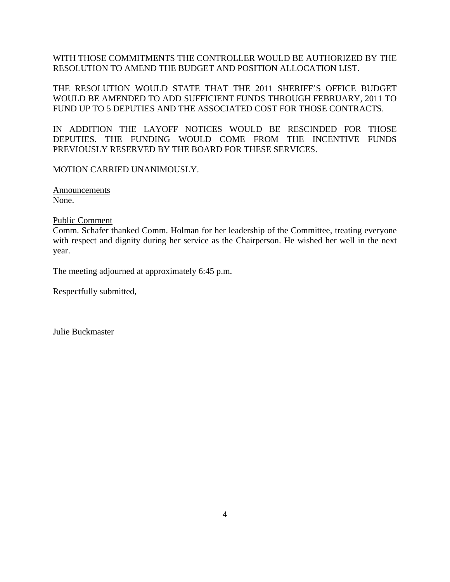WITH THOSE COMMITMENTS THE CONTROLLER WOULD BE AUTHORIZED BY THE RESOLUTION TO AMEND THE BUDGET AND POSITION ALLOCATION LIST.

THE RESOLUTION WOULD STATE THAT THE 2011 SHERIFF'S OFFICE BUDGET WOULD BE AMENDED TO ADD SUFFICIENT FUNDS THROUGH FEBRUARY, 2011 TO FUND UP TO 5 DEPUTIES AND THE ASSOCIATED COST FOR THOSE CONTRACTS.

IN ADDITION THE LAYOFF NOTICES WOULD BE RESCINDED FOR THOSE DEPUTIES. THE FUNDING WOULD COME FROM THE INCENTIVE FUNDS PREVIOUSLY RESERVED BY THE BOARD FOR THESE SERVICES.

MOTION CARRIED UNANIMOUSLY.

Announcements None.

Public Comment

Comm. Schafer thanked Comm. Holman for her leadership of the Committee, treating everyone with respect and dignity during her service as the Chairperson. He wished her well in the next year.

The meeting adjourned at approximately 6:45 p.m.

Respectfully submitted,

Julie Buckmaster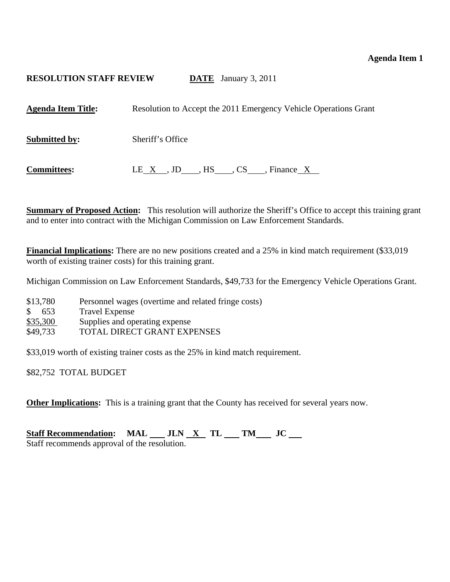### **Agenda Item 1**

### <span id="page-5-0"></span>**RESOLUTION STAFF REVIEW DATE** January 3, 2011

| <b>Agenda Item Title:</b> | Resolution to Accept the 2011 Emergency Vehicle Operations Grant |  |
|---------------------------|------------------------------------------------------------------|--|
| <b>Submitted by:</b>      | Sheriff's Office                                                 |  |
| <b>Committees:</b>        | LEX, JD, HS, CS, Finance X                                       |  |

**Summary of Proposed Action:** This resolution will authorize the Sheriff's Office to accept this training grant and to enter into contract with the Michigan Commission on Law Enforcement Standards.

**Financial Implications:** There are no new positions created and a 25% in kind match requirement (\$33,019) worth of existing trainer costs) for this training grant.

Michigan Commission on Law Enforcement Standards, \$49,733 for the Emergency Vehicle Operations Grant.

- \$13,780 Personnel wages (overtime and related fringe costs)
- \$ 653 Travel Expense
- \$35,300 Supplies and operating expense
- \$49,733 TOTAL DIRECT GRANT EXPENSES

\$33,019 worth of existing trainer costs as the 25% in kind match requirement.

\$82,752 TOTAL BUDGET

**Other Implications:** This is a training grant that the County has received for several years now.

Staff Recommendation: MAL \_\_ JLN <u>X</u> TL \_\_ TM \_\_ JC \_\_ Staff recommends approval of the resolution.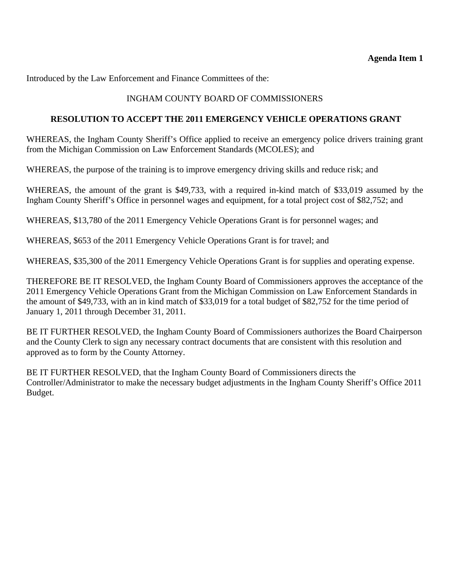### **Agenda Item 1**

Introduced by the Law Enforcement and Finance Committees of the:

### INGHAM COUNTY BOARD OF COMMISSIONERS

### **RESOLUTION TO ACCEPT THE 2011 EMERGENCY VEHICLE OPERATIONS GRANT**

WHEREAS, the Ingham County Sheriff's Office applied to receive an emergency police drivers training grant from the Michigan Commission on Law Enforcement Standards (MCOLES); and

WHEREAS, the purpose of the training is to improve emergency driving skills and reduce risk; and

WHEREAS, the amount of the grant is \$49,733, with a required in-kind match of \$33,019 assumed by the Ingham County Sheriff's Office in personnel wages and equipment, for a total project cost of \$82,752; and

WHEREAS, \$13,780 of the 2011 Emergency Vehicle Operations Grant is for personnel wages; and

WHEREAS, \$653 of the 2011 Emergency Vehicle Operations Grant is for travel; and

WHEREAS, \$35,300 of the 2011 Emergency Vehicle Operations Grant is for supplies and operating expense.

THEREFORE BE IT RESOLVED, the Ingham County Board of Commissioners approves the acceptance of the 2011 Emergency Vehicle Operations Grant from the Michigan Commission on Law Enforcement Standards in the amount of \$49,733, with an in kind match of \$33,019 for a total budget of \$82,752 for the time period of January 1, 2011 through December 31, 2011.

BE IT FURTHER RESOLVED, the Ingham County Board of Commissioners authorizes the Board Chairperson and the County Clerk to sign any necessary contract documents that are consistent with this resolution and approved as to form by the County Attorney.

BE IT FURTHER RESOLVED, that the Ingham County Board of Commissioners directs the Controller/Administrator to make the necessary budget adjustments in the Ingham County Sheriff's Office 2011 Budget.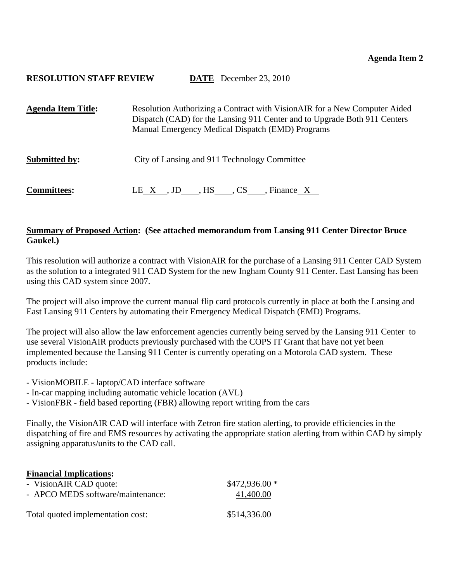## <span id="page-7-0"></span>**RESOLUTION STAFF REVIEW DATE** December 23, 2010

**Agenda Item Title:** Resolution Authorizing a Contract with VisionAIR for a New Computer Aided Dispatch (CAD) for the Lansing 911 Center and to Upgrade Both 911 Centers Manual Emergency Medical Dispatch (EMD) Programs **Submitted by:** City of Lansing and 911 Technology Committee **Committees:** LE X , JD , HS , CS , Finance X

## **Summary of Proposed Action: (See attached memorandum from Lansing 911 Center Director Bruce Gaukel.)**

This resolution will authorize a contract with VisionAIR for the purchase of a Lansing 911 Center CAD System as the solution to a integrated 911 CAD System for the new Ingham County 911 Center. East Lansing has been using this CAD system since 2007.

The project will also improve the current manual flip card protocols currently in place at both the Lansing and East Lansing 911 Centers by automating their Emergency Medical Dispatch (EMD) Programs.

The project will also allow the law enforcement agencies currently being served by the Lansing 911 Center to use several VisionAIR products previously purchased with the COPS IT Grant that have not yet been implemented because the Lansing 911 Center is currently operating on a Motorola CAD system. These products include:

- VisionMOBILE laptop/CAD interface software
- In-car mapping including automatic vehicle location (AVL)
- VisionFBR field based reporting (FBR) allowing report writing from the cars

Finally, the VisionAIR CAD will interface with Zetron fire station alerting, to provide efficiencies in the dispatching of fire and EMS resources by activating the appropriate station alerting from within CAD by simply assigning apparatus/units to the CAD call.

# **Financial Implications:**  - VisionAIR CAD quote: \$472,936.00 \* - APCO MEDS software/maintenance: 41,400.00 Total quoted implementation cost: \$514,336.00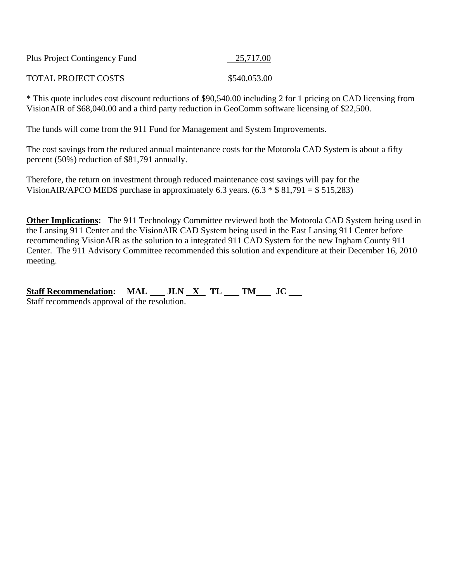| Plus Project Contingency Fund | 25,717.00    |
|-------------------------------|--------------|
| <b>TOTAL PROJECT COSTS</b>    | \$540,053.00 |

\* This quote includes cost discount reductions of \$90,540.00 including 2 for 1 pricing on CAD licensing from VisionAIR of \$68,040.00 and a third party reduction in GeoComm software licensing of \$22,500.

The funds will come from the 911 Fund for Management and System Improvements.

The cost savings from the reduced annual maintenance costs for the Motorola CAD System is about a fifty percent (50%) reduction of \$81,791 annually.

Therefore, the return on investment through reduced maintenance cost savings will pay for the VisionAIR/APCO MEDS purchase in approximately 6.3 years.  $(6.3 * $ 81,791 = $ 515,283)$ 

**Other Implications:** The 911 Technology Committee reviewed both the Motorola CAD System being used in the Lansing 911 Center and the VisionAIR CAD System being used in the East Lansing 911 Center before recommending VisionAIR as the solution to a integrated 911 CAD System for the new Ingham County 911 Center. The 911 Advisory Committee recommended this solution and expenditure at their December 16, 2010 meeting.

Staff Recommendation: MAL JLN X TL TM JC Staff recommends approval of the resolution.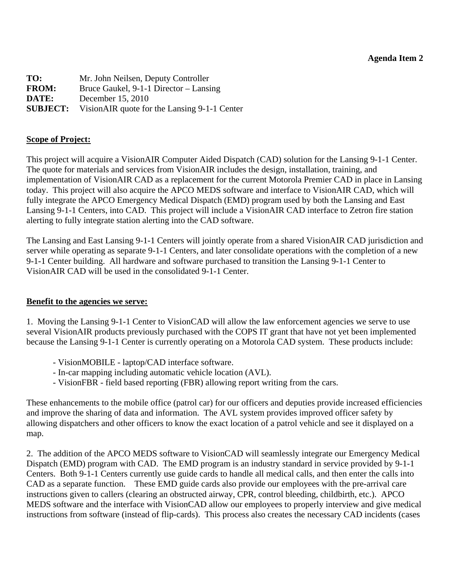| TO:             | Mr. John Neilsen, Deputy Controller          |
|-----------------|----------------------------------------------|
| <b>FROM:</b>    | Bruce Gaukel, 9-1-1 Director – Lansing       |
| DATE:           | December 15, 2010                            |
| <b>SUBJECT:</b> | VisionAIR quote for the Lansing 9-1-1 Center |

## **Scope of Project:**

This project will acquire a VisionAIR Computer Aided Dispatch (CAD) solution for the Lansing 9-1-1 Center. The quote for materials and services from VisionAIR includes the design, installation, training, and implementation of VisionAIR CAD as a replacement for the current Motorola Premier CAD in place in Lansing today. This project will also acquire the APCO MEDS software and interface to VisionAIR CAD, which will fully integrate the APCO Emergency Medical Dispatch (EMD) program used by both the Lansing and East Lansing 9-1-1 Centers, into CAD. This project will include a VisionAIR CAD interface to Zetron fire station alerting to fully integrate station alerting into the CAD software.

The Lansing and East Lansing 9-1-1 Centers will jointly operate from a shared VisionAIR CAD jurisdiction and server while operating as separate 9-1-1 Centers, and later consolidate operations with the completion of a new 9-1-1 Center building. All hardware and software purchased to transition the Lansing 9-1-1 Center to VisionAIR CAD will be used in the consolidated 9-1-1 Center.

### **Benefit to the agencies we serve:**

1. Moving the Lansing 9-1-1 Center to VisionCAD will allow the law enforcement agencies we serve to use several VisionAIR products previously purchased with the COPS IT grant that have not yet been implemented because the Lansing 9-1-1 Center is currently operating on a Motorola CAD system. These products include:

- VisionMOBILE laptop/CAD interface software.
- In-car mapping including automatic vehicle location (AVL).
- VisionFBR field based reporting (FBR) allowing report writing from the cars.

These enhancements to the mobile office (patrol car) for our officers and deputies provide increased efficiencies and improve the sharing of data and information. The AVL system provides improved officer safety by allowing dispatchers and other officers to know the exact location of a patrol vehicle and see it displayed on a map.

2. The addition of the APCO MEDS software to VisionCAD will seamlessly integrate our Emergency Medical Dispatch (EMD) program with CAD. The EMD program is an industry standard in service provided by 9-1-1 Centers. Both 9-1-1 Centers currently use guide cards to handle all medical calls, and then enter the calls into CAD as a separate function. These EMD guide cards also provide our employees with the pre-arrival care instructions given to callers (clearing an obstructed airway, CPR, control bleeding, childbirth, etc.). APCO MEDS software and the interface with VisionCAD allow our employees to properly interview and give medical instructions from software (instead of flip-cards). This process also creates the necessary CAD incidents (cases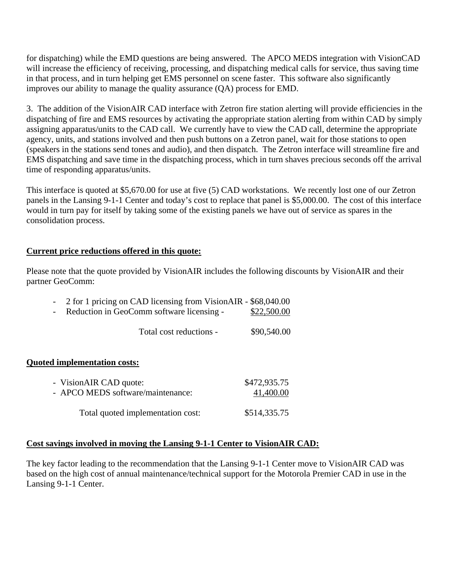for dispatching) while the EMD questions are being answered. The APCO MEDS integration with VisionCAD will increase the efficiency of receiving, processing, and dispatching medical calls for service, thus saving time in that process, and in turn helping get EMS personnel on scene faster. This software also significantly improves our ability to manage the quality assurance (QA) process for EMD.

3. The addition of the VisionAIR CAD interface with Zetron fire station alerting will provide efficiencies in the dispatching of fire and EMS resources by activating the appropriate station alerting from within CAD by simply assigning apparatus/units to the CAD call. We currently have to view the CAD call, determine the appropriate agency, units, and stations involved and then push buttons on a Zetron panel, wait for those stations to open (speakers in the stations send tones and audio), and then dispatch. The Zetron interface will streamline fire and EMS dispatching and save time in the dispatching process, which in turn shaves precious seconds off the arrival time of responding apparatus/units.

This interface is quoted at \$5,670.00 for use at five (5) CAD workstations. We recently lost one of our Zetron panels in the Lansing 9-1-1 Center and today's cost to replace that panel is \$5,000.00. The cost of this interface would in turn pay for itself by taking some of the existing panels we have out of service as spares in the consolidation process.

## **Current price reductions offered in this quote:**

Please note that the quote provided by VisionAIR includes the following discounts by VisionAIR and their partner GeoComm:

| 2 for 1 pricing on CAD licensing from VisionAIR - \$68,040.00<br>Reduction in GeoComm software licensing - | \$22,500.00               |
|------------------------------------------------------------------------------------------------------------|---------------------------|
| Total cost reductions -                                                                                    | \$90,540.00               |
| <b>Quoted implementation costs:</b>                                                                        |                           |
| - VisionAIR CAD quote:<br>- APCO MEDS software/maintenance:                                                | \$472,935.75<br>41,400.00 |
| Total quoted implementation cost:                                                                          | \$514,335.75              |

### **Cost savings involved in moving the Lansing 9-1-1 Center to VisionAIR CAD:**

The key factor leading to the recommendation that the Lansing 9-1-1 Center move to VisionAIR CAD was based on the high cost of annual maintenance/technical support for the Motorola Premier CAD in use in the Lansing 9-1-1 Center.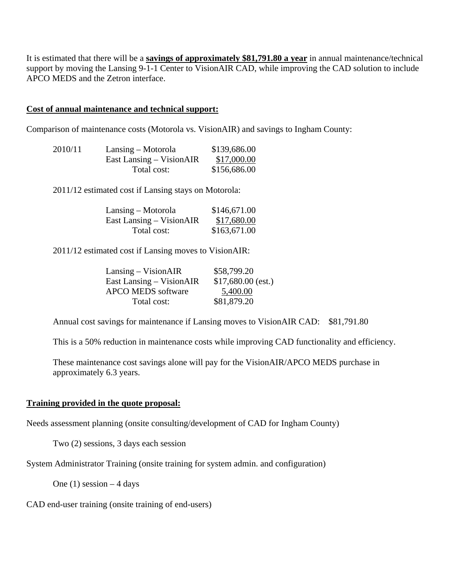It is estimated that there will be a **savings of approximately \$81,791.80 a year** in annual maintenance/technical support by moving the Lansing 9-1-1 Center to VisionAIR CAD, while improving the CAD solution to include APCO MEDS and the Zetron interface.

### **Cost of annual maintenance and technical support:**

Comparison of maintenance costs (Motorola vs. VisionAIR) and savings to Ingham County:

| 2010/11 | Lansing – Motorola       | \$139,686.00 |
|---------|--------------------------|--------------|
|         | East Lansing – VisionAIR | \$17,000.00  |
|         | Total cost:              | \$156,686.00 |

2011/12 estimated cost if Lansing stays on Motorola:

| Lansing – Motorola       | \$146,671.00 |
|--------------------------|--------------|
| East Lansing – VisionAIR | \$17,680.00  |
| Total cost:              | \$163,671.00 |

2011/12 estimated cost if Lansing moves to VisionAIR:

| $Lansing - VisionAIR$     | \$58,799.20         |
|---------------------------|---------------------|
| East Lansing – VisionAIR  | $$17,680.00$ (est.) |
| <b>APCO MEDS</b> software | 5,400.00            |
| Total cost:               | \$81,879.20         |

Annual cost savings for maintenance if Lansing moves to VisionAIR CAD: \$81,791.80

This is a 50% reduction in maintenance costs while improving CAD functionality and efficiency.

These maintenance cost savings alone will pay for the VisionAIR/APCO MEDS purchase in approximately 6.3 years.

### **Training provided in the quote proposal:**

Needs assessment planning (onsite consulting/development of CAD for Ingham County)

Two (2) sessions, 3 days each session

System Administrator Training (onsite training for system admin. and configuration)

One  $(1)$  session  $-4$  days

CAD end-user training (onsite training of end-users)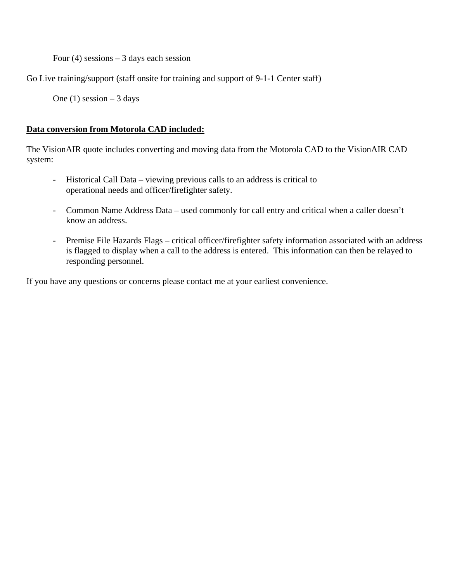Four  $(4)$  sessions – 3 days each session

Go Live training/support (staff onsite for training and support of 9-1-1 Center staff)

One  $(1)$  session – 3 days

### **Data conversion from Motorola CAD included:**

The VisionAIR quote includes converting and moving data from the Motorola CAD to the VisionAIR CAD system:

- Historical Call Data viewing previous calls to an address is critical to operational needs and officer/firefighter safety.
- Common Name Address Data used commonly for call entry and critical when a caller doesn't know an address.
- Premise File Hazards Flags critical officer/firefighter safety information associated with an address is flagged to display when a call to the address is entered. This information can then be relayed to responding personnel.

If you have any questions or concerns please contact me at your earliest convenience.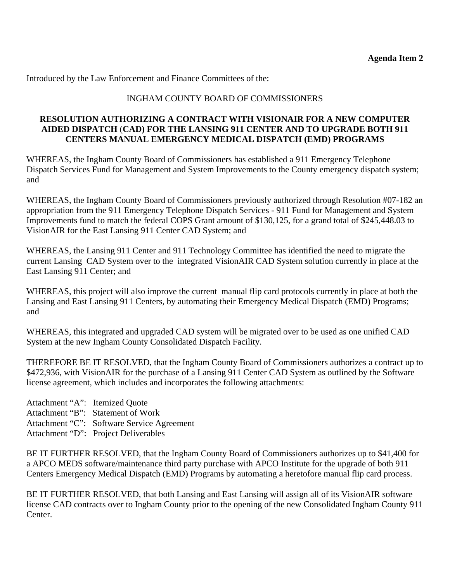Introduced by the Law Enforcement and Finance Committees of the:

# INGHAM COUNTY BOARD OF COMMISSIONERS

### **RESOLUTION AUTHORIZING A CONTRACT WITH VISIONAIR FOR A NEW COMPUTER AIDED DISPATCH** (**CAD) FOR THE LANSING 911 CENTER AND TO UPGRADE BOTH 911 CENTERS MANUAL EMERGENCY MEDICAL DISPATCH (EMD) PROGRAMS**

WHEREAS, the Ingham County Board of Commissioners has established a 911 Emergency Telephone Dispatch Services Fund for Management and System Improvements to the County emergency dispatch system; and

WHEREAS, the Ingham County Board of Commissioners previously authorized through Resolution #07-182 an appropriation from the 911 Emergency Telephone Dispatch Services - 911 Fund for Management and System Improvements fund to match the federal COPS Grant amount of \$130,125, for a grand total of \$245,448.03 to VisionAIR for the East Lansing 911 Center CAD System; and

WHEREAS, the Lansing 911 Center and 911 Technology Committee has identified the need to migrate the current Lansing CAD System over to the integrated VisionAIR CAD System solution currently in place at the East Lansing 911 Center; and

WHEREAS, this project will also improve the current manual flip card protocols currently in place at both the Lansing and East Lansing 911 Centers, by automating their Emergency Medical Dispatch (EMD) Programs; and

WHEREAS, this integrated and upgraded CAD system will be migrated over to be used as one unified CAD System at the new Ingham County Consolidated Dispatch Facility.

THEREFORE BE IT RESOLVED, that the Ingham County Board of Commissioners authorizes a contract up to \$472,936, with VisionAIR for the purchase of a Lansing 911 Center CAD System as outlined by the Software license agreement, which includes and incorporates the following attachments:

Attachment "A": Itemized Quote Attachment "B": Statement of Work Attachment "C": Software Service Agreement Attachment "D": Project Deliverables

BE IT FURTHER RESOLVED, that the Ingham County Board of Commissioners authorizes up to \$41,400 for a APCO MEDS software/maintenance third party purchase with APCO Institute for the upgrade of both 911 Centers Emergency Medical Dispatch (EMD) Programs by automating a heretofore manual flip card process.

BE IT FURTHER RESOLVED, that both Lansing and East Lansing will assign all of its VisionAIR software license CAD contracts over to Ingham County prior to the opening of the new Consolidated Ingham County 911 Center.